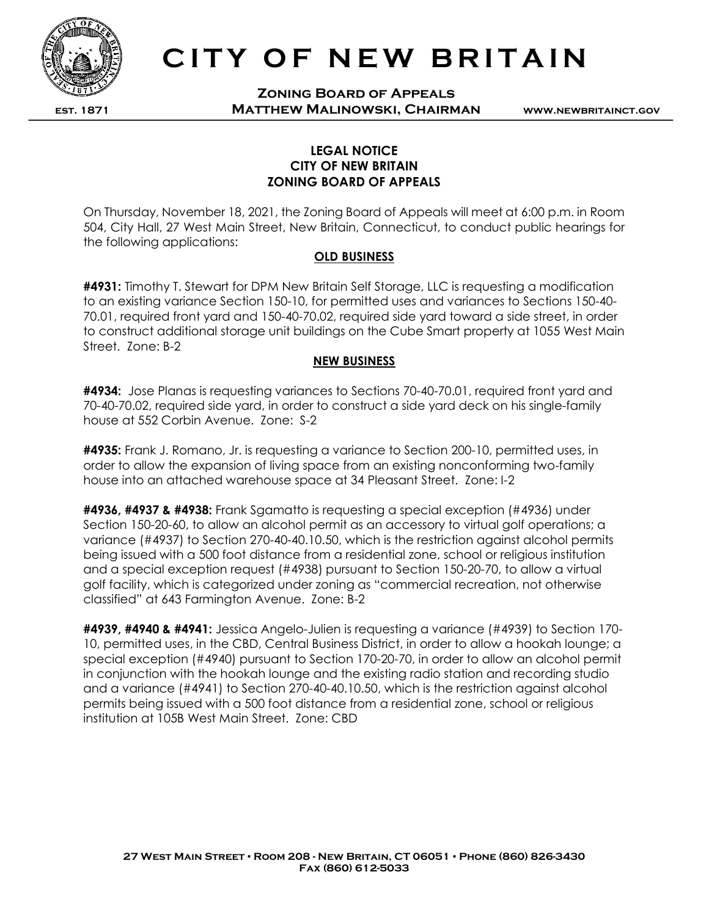

est. 1871

## CITY OF NEW BRITAIN

Zoning Board of Appeals Matthew Malinowski, Chairman

www.newbritainct.gov

## LEGAL NOTICE CITY OF NEW BRITAIN ZONING BOARD OF APPEALS

On Thursday, November 18, 2021, the Zoning Board of Appeals will meet at 6:00 p.m. in Room 504, City Hall, 27 West Main Street, New Britain, Connecticut, to conduct public hearings for the following applications:

## OLD BUSINESS

**#4931:** Timothy T. Stewart for DPM New Britain Self Storage, LLC is requesting a modification to an existing variance Section 150-10, for permitted uses and variances to Sections 150-40- 70.01, required front yard and 150-40-70.02, required side yard toward a side street, in order to construct additional storage unit buildings on the Cube Smart property at 1055 West Main Street. Zone: B-2

## NEW BUSINESS

**#4934:** Jose Planas is requesting variances to Sections 70-40-70.01, required front yard and 70-40-70.02, required side yard, in order to construct a side yard deck on his single-family house at 552 Corbin Avenue. Zone: S-2

#4935: Frank J. Romano, Jr. is requesting a variance to Section 200-10, permitted uses, in order to allow the expansion of living space from an existing nonconforming two-family house into an attached warehouse space at 34 Pleasant Street. Zone: I-2

#4936, #4937 & #4938: Frank Sgamatto is requesting a special exception (#4936) under Section 150-20-60, to allow an alcohol permit as an accessory to virtual golf operations; a variance (#4937) to Section 270-40-40.10.50, which is the restriction against alcohol permits being issued with a 500 foot distance from a residential zone, school or religious institution and a special exception request (#4938) pursuant to Section 150-20-70, to allow a virtual golf facility, which is categorized under zoning as "commercial recreation, not otherwise classified" at 643 Farmington Avenue. Zone: B-2

**#4939, #4940 & #4941:** Jessica Angelo-Julien is requesting a variance (#4939) to Section 170-10, permitted uses, in the CBD, Central Business District, in order to allow a hookah lounge; a special exception (#4940) pursuant to Section 170-20-70, in order to allow an alcohol permit in conjunction with the hookah lounge and the existing radio station and recording studio and a variance (#4941) to Section 270-40-40.10.50, which is the restriction against alcohol permits being issued with a 500 foot distance from a residential zone, school or religious institution at 105B West Main Street. Zone: CBD